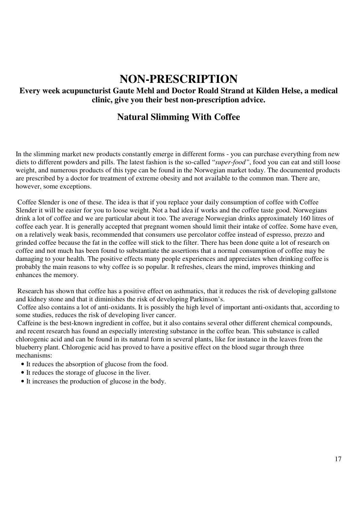## **NON-PRESCRIPTION**

## **Every week acupuncturist Gaute Mehl and Doctor Roald Strand at Kilden Helse, a medical clinic, give you their best non-prescription advice.**

## **Natural Slimming With Coffee**

In the slimming market new products constantly emerge in different forms - you can purchase everything from new diets to different powders and pills. The latest fashion is the so-called "*super-food"*, food you can eat and still loose weight, and numerous products of this type can be found in the Norwegian market today. The documented products are prescribed by a doctor for treatment of extreme obesity and not available to the common man. There are, however, some exceptions.

Coffee Slender is one of these. The idea is that if you replace your daily consumption of coffee with Coffee Slender it will be easier for you to loose weight. Not a bad idea if works and the coffee taste good. Norwegians drink a lot of coffee and we are particular about it too. The average Norwegian drinks approximately 160 litres of coffee each year. It is generally accepted that pregnant women should limit their intake of coffee. Some have even, on a relatively weak basis, recommended that consumers use percolator coffee instead of espresso, prezzo and grinded coffee because the fat in the coffee will stick to the filter. There has been done quite a lot of research on coffee and not much has been found to substantiate the assertions that a normal consumption of coffee may be damaging to your health. The positive effects many people experiences and appreciates when drinking coffee is probably the main reasons to why coffee is so popular. It refreshes, clears the mind, improves thinking and enhances the memory.

Research has shown that coffee has a positive effect on asthmatics, that it reduces the risk of developing gallstone and kidney stone and that it diminishes the risk of developing Parkinson's.

Coffee also contains a lot of anti-oxidants. It is possibly the high level of important anti-oxidants that, according to some studies, reduces the risk of developing liver cancer.

Caffeine is the best-known ingredient in coffee, but it also contains several other different chemical compounds, and recent research has found an especially interesting substance in the coffee bean. This substance is called chlorogenic acid and can be found in its natural form in several plants, like for instance in the leaves from the blueberry plant. Chlorogenic acid has proved to have a positive effect on the blood sugar through three mechanisms:

- It reduces the absorption of glucose from the food.
- It reduces the storage of glucose in the liver.
- It increases the production of glucose in the body.